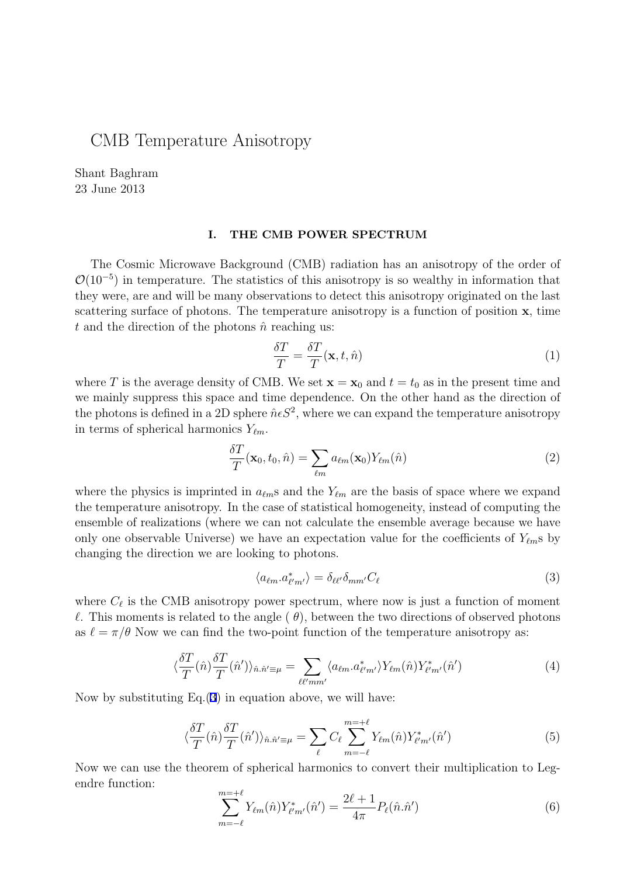## CMB Temperature Anisotropy

Shant Baghram 23 June 2013

## **I. THE CMB POWER SPECTRUM**

The Cosmic Microwave Background (CMB) radiation has an anisotropy of the order of *O*(10<sup>−5</sup>) in temperature. The statistics of this anisotropy is so wealthy in information that they were, are and will be many observations to detect this anisotropy originated on the last scattering surface of photons. The temperature anisotropy is a function of position **x**, time  $t$  and the direction of the photons  $\hat{n}$  reaching us:

$$
\frac{\delta T}{T} = \frac{\delta T}{T}(\mathbf{x}, t, \hat{n})\tag{1}
$$

where *T* is the average density of CMB. We set  $\mathbf{x} = \mathbf{x}_0$  and  $t = t_0$  as in the present time and we mainly suppress this space and time dependence. On the other hand as the direction of the photons is defined in a 2D sphere  $\hat{n} \epsilon S^2$ , where we can expand the temperature anisotropy in terms of spherical harmonics *Yℓm*.

$$
\frac{\delta T}{T}(\mathbf{x}_0, t_0, \hat{n}) = \sum_{\ell m} a_{\ell m}(\mathbf{x}_0) Y_{\ell m}(\hat{n})
$$
\n(2)

where the physics is imprinted in  $a_{\ell m}$ s and the  $Y_{\ell m}$  are the basis of space where we expand the temperature anisotropy. In the case of statistical homogeneity, instead of computing the ensemble of realizations (where we can not calculate the ensemble average because we have only one observable Universe) we have an expectation value for the coefficients of  $Y_{\ell m}$ s by changing the direction we are looking to photons.

$$
\langle a_{\ell m}. a_{\ell' m'}^* \rangle = \delta_{\ell \ell'} \delta_{m m'} C_{\ell} \tag{3}
$$

where  $C_{\ell}$  is the CMB anisotropy power spectrum, where now is just a function of moment *ℓ*. This moments is related to the angle ( *θ*), between the two directions of observed photons as  $\ell = \pi/\theta$  Now we can find the two-point function of the temperature anisotropy as:

$$
\langle \frac{\delta T}{T}(\hat{n}) \frac{\delta T}{T}(\hat{n}') \rangle_{\hat{n}.\hat{n}' \equiv \mu} = \sum_{\ell \ell' m m'} \langle a_{\ell m} . a_{\ell' m'}^* \rangle Y_{\ell m}(\hat{n}) Y_{\ell' m'}^*(\hat{n}') \tag{4}
$$

Now by substituting Eq.(3) in equation above, we will have:

$$
\langle \frac{\delta T}{T}(\hat{n}) \frac{\delta T}{T}(\hat{n}') \rangle_{\hat{n}.\hat{n}' \equiv \mu} = \sum_{\ell} C_{\ell} \sum_{m=-\ell}^{m=+\ell} Y_{\ell m}(\hat{n}) Y_{\ell'm'}^*(\hat{n}') \tag{5}
$$

Now we can use the theorem of spherical harmonics to convert their multiplication to Legendre function: =+*ℓ*

$$
\sum_{m=-\ell}^{m=+\ell} Y_{\ell m}(\hat{n}) Y_{\ell' m'}^*(\hat{n}') = \frac{2\ell+1}{4\pi} P_{\ell}(\hat{n}.\hat{n}') \tag{6}
$$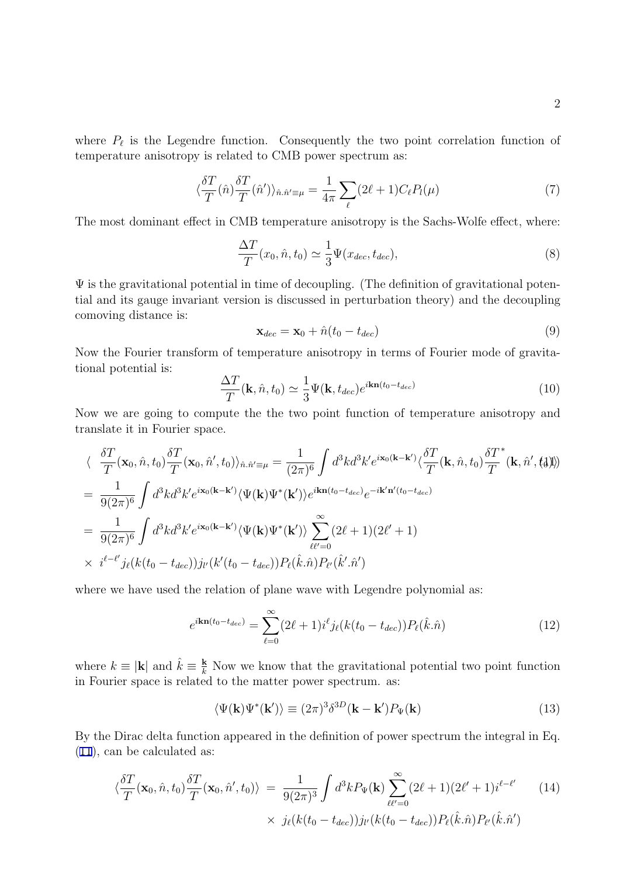where  $P_{\ell}$  is the Legendre function. Consequently the two point correlation function of temperature anisotropy is related to CMB power spectrum as:

$$
\langle \frac{\delta T}{T}(\hat{n}) \frac{\delta T}{T}(\hat{n}') \rangle_{\hat{n}.\hat{n}' \equiv \mu} = \frac{1}{4\pi} \sum_{\ell} (2\ell + 1) C_{\ell} P_{l}(\mu) \tag{7}
$$

The most dominant effect in CMB temperature anisotropy is the Sachs-Wolfe effect, where:

$$
\frac{\Delta T}{T}(x_0, \hat{n}, t_0) \simeq \frac{1}{3} \Psi(x_{dec}, t_{dec}), \tag{8}
$$

 $\Psi$  is the gravitational potential in time of decoupling. (The definition of gravitational potential and its gauge invariant version is discussed in perturbation theory) and the decoupling comoving distance is:

$$
\mathbf{x}_{dec} = \mathbf{x}_0 + \hat{n}(t_0 - t_{dec})
$$
\n(9)

Now the Fourier transform of temperature anisotropy in terms of Fourier mode of gravitational potential is:

$$
\frac{\Delta T}{T}(\mathbf{k}, \hat{n}, t_0) \simeq \frac{1}{3} \Psi(\mathbf{k}, t_{dec}) e^{i \mathbf{k} \mathbf{n}(t_0 - t_{dec})}
$$
(10)

Now we are going to compute the the two point function of temperature anisotropy and translate it in Fourier space.

$$
\langle \frac{\delta T}{T}(\mathbf{x}_0, \hat{n}, t_0) \frac{\delta T}{T}(\mathbf{x}_0, \hat{n}', t_0) \rangle_{\hat{n}, \hat{n}' \equiv \mu} = \frac{1}{(2\pi)^6} \int d^3k d^3k' e^{i\mathbf{x}_0(\mathbf{k} - \mathbf{k}')} \langle \frac{\delta T}{T}(\mathbf{k}, \hat{n}, t_0) \frac{\delta T}{T}^*(\mathbf{k}, \hat{n}', t_0) \rangle
$$
  
\n
$$
= \frac{1}{9(2\pi)^6} \int d^3k d^3k' e^{i\mathbf{x}_0(\mathbf{k} - \mathbf{k}')} \langle \Psi(\mathbf{k}) \Psi^*(\mathbf{k}') \rangle e^{i\mathbf{k} \mathbf{n}(t_0 - t_{dec})} e^{-i\mathbf{k}' \mathbf{n}'(t_0 - t_{dec})}
$$
  
\n
$$
= \frac{1}{9(2\pi)^6} \int d^3k d^3k' e^{i\mathbf{x}_0(\mathbf{k} - \mathbf{k}')} \langle \Psi(\mathbf{k}) \Psi^*(\mathbf{k}') \rangle \sum_{\ell\ell' = 0}^{\infty} (2\ell + 1)(2\ell' + 1)
$$
  
\n
$$
\times i^{\ell - \ell'} j_{\ell}(k(t_0 - t_{dec})) j_{l'}(k'(t_0 - t_{dec})) P_{\ell}(\hat{k}, \hat{n}) P_{\ell'}(\hat{k}', \hat{n}')
$$

where we have used the relation of plane wave with Legendre polynomial as:

$$
e^{i\mathbf{k}\mathbf{n}(t_0 - t_{dec})} = \sum_{\ell=0}^{\infty} (2\ell+1) i^{\ell} j_{\ell} (k(t_0 - t_{dec})) P_{\ell}(\hat{k}.\hat{n})
$$
(12)

where  $k \equiv |\mathbf{k}|$  and  $\hat{k} \equiv \frac{\mathbf{k}}{k}$  Now we know that the gravitational potential two point function in Fourier space is related to the matter power spectrum. as:

$$
\langle \Psi(\mathbf{k}) \Psi^*(\mathbf{k'}) \rangle \equiv (2\pi)^3 \delta^{3D} (\mathbf{k} - \mathbf{k'}) P_{\Psi}(\mathbf{k}) \tag{13}
$$

By the Dirac delta function appeared in the definition of power spectrum the integral in Eq. (11), can be calculated as:

$$
\langle \frac{\delta T}{T}(\mathbf{x}_0, \hat{n}, t_0) \frac{\delta T}{T}(\mathbf{x}_0, \hat{n}', t_0) \rangle = \frac{1}{9(2\pi)^3} \int d^3k P_{\Psi}(\mathbf{k}) \sum_{\ell \ell'=0}^{\infty} (2\ell+1)(2\ell'+1) i^{\ell-\ell'} \qquad (14)
$$

$$
\times j_{\ell}(k(t_0 - t_{dec})) j_{\ell'}(k(t_0 - t_{dec})) P_{\ell}(\hat{k}.\hat{n}) P_{\ell'}(\hat{k}.\hat{n}')
$$